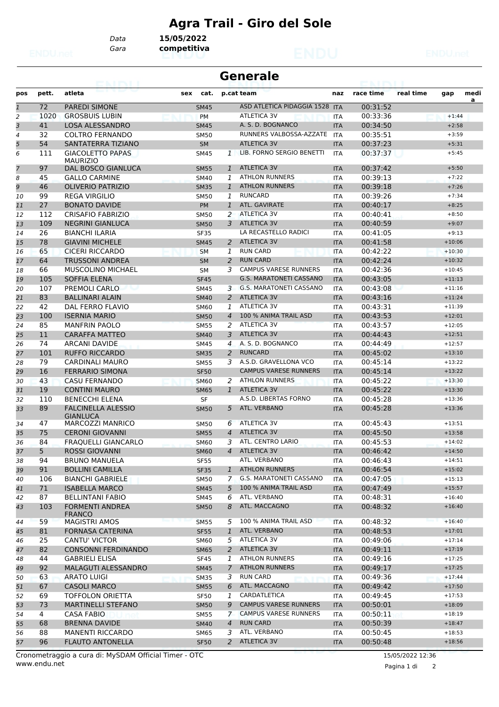## **Agra Trail - Giro del Sole**

*Gara* **competitiva**

*Data* **15/05/2022**

| <b>Generale</b><br>5 N.HRY |       |                                              |             |                |                                |            |           |           |          |      |
|----------------------------|-------|----------------------------------------------|-------------|----------------|--------------------------------|------------|-----------|-----------|----------|------|
| pos                        | pett. | atleta                                       | cat.<br>sex |                | p.cat team                     | naz        | race time | real time | gap      | medi |
| $\overline{1}$             | 72    | <b>PAREDI SIMONE</b>                         | <b>SM45</b> |                | ASD ATLETICA PIDAGGIA 1528 ITA |            | 00:31:52  |           |          | a    |
| 2                          | 1020  | <b>GROSBUIS LUBIN</b>                        | <b>PM</b>   |                | <b>ATLETICA 3V</b>             | <b>ITA</b> | 00:33:36  |           | $+1:44$  |      |
| 3                          | 41    | <b>LOSA ALESSANDRO</b>                       | <b>SM45</b> |                | A. S. D. BOGNANCO              | <b>ITA</b> | 00:34:50  |           | $+2:58$  |      |
| 4                          | 32    | <b>COLTRO FERNANDO</b>                       | <b>SM50</b> |                | RUNNERS VALBOSSA-AZZATE        | <b>ITA</b> | 00:35:51  |           | $+3:59$  |      |
| 5                          | 54    | SANTATERRA TIZIANO                           | <b>SM</b>   |                | <b>ATLETICA 3V</b>             | <b>ITA</b> | 00:37:23  |           | $+5:31$  |      |
| 6                          | 111   | <b>GIACOLETTO PAPAS</b><br><b>MAURIZIO</b>   | <b>SM45</b> | $\mathcal{I}$  | LIB. FORNO SERGIO BENETTI      | <b>ITA</b> | 00:37:37  |           | $+5:45$  |      |
| 7                          | 97    | DAL BOSCO GIANLUCA                           | <b>SM55</b> | $\mathbf{1}$   | <b>ATLETICA 3V</b>             | <b>ITA</b> | 00:37:42  |           | $+5:50$  |      |
| 8                          | 45    | <b>GALLO CARMINE</b>                         | <b>SM40</b> | 1              | <b>ATHLON RUNNERS</b>          | <b>ITA</b> | 00:39:13  |           | $+7:22$  |      |
| 9                          | 46    | <b>OLIVERIO PATRIZIO</b>                     | <b>SM35</b> | $\mathbf{1}$   | <b>ATHLON RUNNERS</b>          | <b>ITA</b> | 00:39:18  |           | $+7:26$  |      |
| 10                         | 99    | <b>REGA VIRGILIO</b>                         | <b>SM50</b> | 1              | <b>RUNCARD</b>                 | <b>ITA</b> | 00:39:26  |           | $+7:34$  |      |
| 11                         | 27    | <b>BONATO DAVIDE</b>                         | <b>PM</b>   | $\mathbf{1}$   | ATL. GAVIRATE                  | <b>ITA</b> | 00:40:17  |           | $+8:25$  |      |
| 12                         | 112   | <b>CRISAFIO FABRIZIO</b>                     | <b>SM50</b> | 2              | <b>ATLETICA 3V</b>             | <b>ITA</b> | 00:40:41  |           | $+8:50$  |      |
| 13                         | 109   | <b>NEGRINI GIANLUCA</b>                      | <b>SM50</b> | 3              | <b>ATLETICA 3V</b>             | <b>ITA</b> | 00:40:59  |           | $+9:07$  |      |
| 14                         | 26    | <b>BIANCHI ILARIA</b>                        | <b>SF35</b> |                | LA RECASTELLO RADICI           | <b>ITA</b> | 00:41:05  |           | $+9:13$  |      |
| 15                         | 78    | <b>GIAVINI MICHELE</b>                       | <b>SM45</b> | 2              | <b>ATLETICA 3V</b>             | <b>ITA</b> | 00:41:58  |           | $+10:06$ |      |
| 16                         | 65    | <b>CICERI RICCARDO</b>                       | <b>SM</b>   | 1              | <b>RUN CARD</b>                | <b>ITA</b> | 00:42:22  |           | $+10:30$ |      |
| 17                         | 64    | TRUSSONI ANDREA                              | <b>SM</b>   | 2              | <b>RUN CARD</b>                | <b>ITA</b> | 00:42:24  |           | $+10:32$ |      |
| 18                         | 66    | <b>MUSCOLINO MICHAEL</b>                     | <b>SM</b>   | 3              | <b>CAMPUS VARESE RUNNERS</b>   | <b>ITA</b> | 00:42:36  |           | $+10:45$ |      |
| 19                         | 105   | <b>SOFFIA ELENA</b>                          | <b>SF45</b> |                | <b>G.S. MARATONETI CASSANO</b> | <b>ITA</b> | 00:43:05  |           | $+11:13$ |      |
| 20                         | 107   | PREMOLI CARLO                                | <b>SM45</b> | 3              | <b>G.S. MARATONETI CASSANO</b> | <b>ITA</b> | 00:43:08  |           | $+11:16$ |      |
| 21                         | 83    | <b>BALLINARI ALAIN</b>                       | <b>SM40</b> | $\overline{2}$ | <b>ATLETICA 3V</b>             | <b>ITA</b> | 00:43:16  |           | $+11:24$ |      |
| 22                         | 42    | DAL FERRO FLAVIO                             | <b>SM60</b> | 1              | <b>ATLETICA 3V</b>             | <b>ITA</b> | 00:43:31  |           | $+11:39$ |      |
| 23                         | 100   | <b>ISERNIA MARIO</b>                         | <b>SM50</b> | $\overline{4}$ | 100 % ANIMA TRAIL ASD          | <b>ITA</b> | 00:43:53  |           | $+12:01$ |      |
| 24                         | 85    | <b>MANFRIN PAOLO</b>                         | <b>SM55</b> | 2              | <b>ATLETICA 3V</b>             | <b>ITA</b> | 00:43:57  |           | $+12:05$ |      |
| 25                         | 11    | <b>CARAFFA MATTEO</b>                        | <b>SM40</b> | 3              | <b>ATLETICA 3V</b>             | <b>ITA</b> | 00:44:43  |           | $+12:51$ |      |
| 26                         | 74    | <b>ARCANI DAVIDE</b>                         | <b>SM45</b> | 4              | A. S. D. BOGNANCO              | <b>ITA</b> | 00:44:49  |           | $+12:57$ |      |
| 27                         | 101   | <b>RUFFO RICCARDO</b>                        | <b>SM35</b> | 2              | <b>RUNCARD</b>                 | <b>ITA</b> | 00:45:02  |           | $+13:10$ |      |
|                            | 79    | <b>CARDINALI MAURO</b>                       |             | 3              | A.S.D. GRAVELLONA VCO          |            | 00:45:14  |           | $+13:22$ |      |
| 28                         |       |                                              | <b>SM55</b> |                | <b>CAMPUS VARESE RUNNERS</b>   | <b>ITA</b> | 00:45:14  |           | $+13:22$ |      |
| 29                         | 16    | <b>FERRARIO SIMONA</b>                       | <b>SF50</b> |                | 2 ATHLON RUNNERS               | <b>ITA</b> |           |           |          |      |
| 30                         | 43    | <b>CASU FERNANDO</b>                         | <b>SM60</b> |                | <b>ATLETICA 3V</b>             | <b>ITA</b> | 00:45:22  |           | $+13:30$ |      |
| 31                         | 19    | <b>CONTINI MAURO</b>                         | <b>SM65</b> | $\mathbf{1}$   |                                | <b>ITA</b> | 00:45:22  |           | $+13:30$ |      |
| 32                         | 110   | <b>BENECCHI ELENA</b>                        | <b>SF</b>   |                | A.S.D. LIBERTAS FORNO          | <b>ITA</b> | 00:45:28  |           | $+13:36$ |      |
| 33                         | 89    | <b>FALCINELLA ALESSIO</b><br><b>GIANLUCA</b> | <b>SM50</b> | 5              | ATL. VERBANO                   | <b>ITA</b> | 00:45:28  |           | $+13:36$ |      |
| 34                         | 47    | <b>MARCOZZI MANRICO</b>                      | SM50        | 6              | <b>ATLETICA 3V</b>             | <b>ITA</b> | 00:45:43  |           | $+13:51$ |      |
| 35                         | 75    | <b>CERONI GIOVANNI</b>                       | <b>SM55</b> | 4              | <b>ATLETICA 3V</b>             | <b>ITA</b> | 00:45:50  |           | $+13:58$ |      |
| 36                         | 84    | <b>FRAQUELLI GIANCARLO</b>                   | <b>SM60</b> | 3              | ATL. CENTRO LARIO              | <b>ITA</b> | 00:45:53  |           | $+14:02$ |      |
| 37                         | 5     | ROSSI GIOVANNI                               | <b>SM60</b> |                | 4 ATLETICA 3V                  | <b>ITA</b> | 00:46:42  |           | $+14:50$ |      |
| 38                         | 94    | <b>BRUNO MANUELA</b>                         | <b>SF55</b> |                | ATL. VERBANO                   | ITA        | 00:46:43  |           | $+14:51$ |      |
| 39                         | 91    | <b>BOLLINI CAMILLA</b>                       | <b>SF35</b> | $\mathbf{1}$   | <b>ATHLON RUNNERS</b>          | <b>ITA</b> | 00:46:54  |           | $+15:02$ |      |
| 40                         | 106   | <b>BIANCHI GABRIELE</b>                      | <b>SM50</b> | $\overline{7}$ | G.S. MARATONETI CASSANO        | ITA        | 00:47:05  |           | $+15:13$ |      |
| 41                         | 71    | <b>ISABELLA MARCO</b>                        | <b>SM45</b> | 5              | 100 % ANIMA TRAIL ASD          | <b>ITA</b> | 00:47:49  |           | $+15:57$ |      |
| 42                         | 87    | <b>BELLINTANI FABIO</b>                      | SM45        | 6              | ATL. VERBANO                   | ITA        | 00:48:31  |           | $+16:40$ |      |
| 43                         | 103   | <b>FORMENTI ANDREA</b><br><b>FRANCO</b>      | <b>SM50</b> | 8              | ATL. MACCAGNO                  | <b>ITA</b> | 00:48:32  |           | $+16:40$ |      |
| 44                         | 59    | <b>MAGISTRI AMOS</b>                         | <b>SM55</b> | 5              | 100 % ANIMA TRAIL ASD          | <b>ITA</b> | 00:48:32  |           | $+16:40$ |      |
| 45                         | 81    | FORNASA CATERINA                             | <b>SF55</b> | $\mathbf{1}$   | ATL. VERBANO                   | <b>ITA</b> | 00:48:53  |           | $+17:01$ |      |
| 46                         | 25    | CANTU' VICTOR                                | <b>SM60</b> | 5              | ATLETICA 3V                    | ITA        | 00:49:06  |           | $+17:14$ |      |
| 47                         | 82    | <b>CONSONNI FERDINANDO</b>                   | <b>SM65</b> | $\overline{2}$ | ATLETICA 3V                    | <b>ITA</b> | 00:49:11  |           | $+17:19$ |      |
| 48                         | 44    | <b>GABRIELI ELISA</b>                        | <b>SF45</b> | 1              | <b>ATHLON RUNNERS</b>          | ITA        | 00:49:16  |           | $+17:25$ |      |
| 49                         | 92    | MALAGUTI ALESSANDRO                          | <b>SM45</b> | $\overline{7}$ | <b>ATHLON RUNNERS</b>          | <b>ITA</b> | 00:49:17  |           | $+17:25$ |      |
| 50                         | 63    | <b>ARATO LUIGI</b>                           | <b>SM35</b> | 3              | <b>RUN CARD</b>                | ITA        | 00:49:36  |           | $+17:44$ |      |
| 51                         | 67    | <b>CASOLI MARCO</b>                          | <b>SM55</b> | 6              | ATL. MACCAGNO                  | <b>ITA</b> | 00:49:42  |           | $+17:50$ |      |
| 52                         | 69    | <b>TOFFOLON ORIETTA</b>                      | <b>SF50</b> | 1              | CARDATLETICA                   | ITA.       | 00:49:45  |           | $+17:53$ |      |
| 53                         | 73    | <b>MARTINELLI STEFANO</b>                    | <b>SM50</b> | 9              | <b>CAMPUS VARESE RUNNERS</b>   | <b>ITA</b> | 00:50:01  |           | $+18:09$ |      |
| 54                         | 4     | <b>CASA FABIO</b>                            | <b>SM55</b> | $\mathcal{I}$  | <b>CAMPUS VARESE RUNNERS</b>   | ITA.       | 00:50:11  |           | $+18:19$ |      |
| 55                         | 68    | <b>BRENNA DAVIDE</b>                         | <b>SM40</b> | 4              | <b>RUN CARD</b>                | <b>ITA</b> | 00:50:39  |           | $+18:47$ |      |
| 56                         | 88    | <b>MANENTI RICCARDO</b>                      | <b>SM65</b> | 3              | ATL. VERBANO                   | ITA        | 00:50:45  |           | $+18:53$ |      |
| 57                         | 96    | <b>FLAUTO ANTONELLA</b>                      | <b>SF50</b> | $\overline{2}$ | <b>ATLETICA 3V</b>             | <b>ITA</b> | 00:50:48  |           | $+18:56$ |      |

www.endu.net Cronometraggio a cura di: MySDAM Official Timer - OTC 15/05/2022 12:36

Pagina 1 di 2